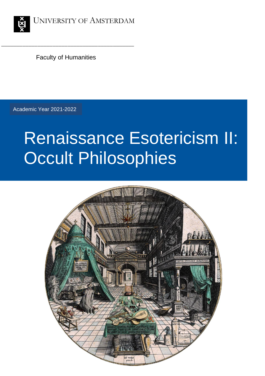

Faculty of Humanities

\_\_\_\_\_\_\_\_\_\_\_\_\_\_\_\_\_\_\_\_\_\_\_\_\_\_\_\_\_\_\_\_\_\_\_\_\_\_\_\_\_\_\_\_

Academic Year 2021-2022

# Renaissance Esotericism II: **Occult Philosophies**

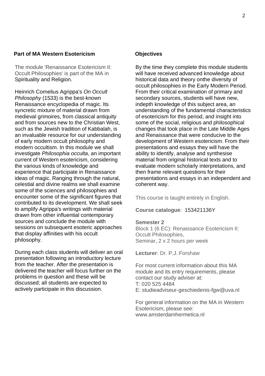#### **Part of MA Western Esotericism Chiectives**

The module 'Renaissance Esotericism II: Occult Philosophies' is part of the MA in Spirituality and Religion.

Heinrich Cornelius Agrippa's *On Occult Philosophy* (1533) is the best-known Renaissance encyclopedia of magic. Its syncretic mixture of material drawn from medieval grimoires, from classical antiquity and from sources new to the Christian West, such as the Jewish tradition of Kabbalah, is an invaluable resource for our understanding of early modern occult philosophy and modern occultism. In this module we shall investigate *Philosophia occulta*, an important current of Western esotericism, considering the various kinds of knowledge and experience that participate in Renaissance ideas of magic. Ranging through the natural, celestial and divine realms we shall examine some of the sciences and philosophies and encounter some of the significant figures that contributed to its development. We shall seek to amplify Agrippa's writings with material drawn from other influential contemporary sources and conclude the module with sessions on subsequent esoteric approaches that display affinities with his occult philosophy.

During each class students will deliver an oral presentation following an introductory lecture from the teacher. After the presentation is delivered the teacher will focus further on the problems in question and these will be discussed; all students are expected to actively participate in this discussion.

By the time they complete this module students will have received advanced knowledge about historical data and theory onthe diversity of occult philosophies in the Early Modern Period. From their critical examination of primary and secondary sources, students will have new, indepth knowledge of this subject area, an understanding of the fundamental characteristics of esotericism for this period, and insight into some of the social, religious and philosophical changes that took place in the Late Middle Ages and Renaissance that were conducive to the development of Western esotericism. From their presentations and essays they will have the ability to identify, analyse and synthesise material from original historical texts and to evaluate modern scholarly interpretations, and then frame relevant questions for their presentations and essays in an independent and coherent way.

This course is taught entirely in English.

#### **Course catalogue**: 153421136Y

#### **Semester 2**

Block 1 (6 EC): Renaissance Esotericism II: Occult Philosophies, Seminar, 2 x 2 hours per week

**Lecturer**: Dr. P.J. Forshaw

For most current information about this MA module and its entry requirements, please contact our study adviser at: T: 020 525 4484 E: studieadviseur-geschiedenis-fgw@uva.nl

For general information on the MA in Western Esotericism, please see: www.amsterdamhermetica.nl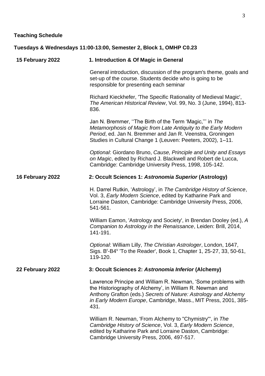## **Tuesdays & Wednesdays 11:00-13:00, Semester 2, Block 1, OMHP C0.23**

| 15 February 2022 | 1. Introduction & Of Magic in General                                                                                                                                                                                                                                  |
|------------------|------------------------------------------------------------------------------------------------------------------------------------------------------------------------------------------------------------------------------------------------------------------------|
|                  | General introduction, discussion of the program's theme, goals and<br>set-up of the course. Students decide who is going to be<br>responsible for presenting each seminar                                                                                              |
|                  | Richard Kieckhefer, 'The Specific Rationality of Medieval Magic',<br>The American Historical Review, Vol. 99, No. 3 (June, 1994), 813-<br>836.                                                                                                                         |
|                  | Jan N. Bremmer, "The Birth of the Term 'Magic," in The<br>Metamorphosis of Magic from Late Antiquity to the Early Modern<br>Period, ed. Jan N. Bremmer and Jan R. Veenstra, Groningen<br>Studies in Cultural Change 1 (Leuven: Peeters, 2002), 1-11.                   |
|                  | Optional: Giordano Bruno, Cause, Principle and Unity and Essays<br>on Magic, edited by Richard J. Blackwell and Robert de Lucca,<br>Cambridge: Cambridge University Press, 1998, 105-142.                                                                              |
| 16 February 2022 | 2: Occult Sciences 1: Astronomia Superior (Astrology)                                                                                                                                                                                                                  |
|                  | H. Darrel Rutkin, 'Astrology', in The Cambridge History of Science,<br>Vol. 3, Early Modern Science, edited by Katharine Park and<br>Lorraine Daston, Cambridge: Cambridge University Press, 2006,<br>541-561.                                                         |
|                  | William Eamon, 'Astrology and Society', in Brendan Dooley (ed.), A<br>Companion to Astrology in the Renaissance, Leiden: Brill, 2014,<br>141-191.                                                                                                                      |
|                  | Optional: William Lilly, The Christian Astrologer, London, 1647,<br>Sigs. B <sup>r</sup> -B4 <sup>v</sup> 'To the Reader', Book 1, Chapter 1, 25-27, 33, 50-61,<br>119-120.                                                                                            |
| 22 February 2022 | 3: Occult Sciences 2: Astronomia Inferior (Alchemy)                                                                                                                                                                                                                    |
|                  | Lawrence Principe and William R. Newman, 'Some problems with<br>the Historiography of Alchemy', in William R. Newman and<br>Anthony Grafton (eds.) Secrets of Nature: Astrology and Alchemy<br>in Early Modern Europe, Cambridge, Mass., MIT Press, 2001, 385-<br>431. |
|                  | William R. Newman, 'From Alchemy to "Chymistry"', in The<br>Cambridge History of Science, Vol. 3, Early Modern Science,<br>edited by Katharine Park and Lorraine Daston, Cambridge:<br>Cambridge University Press, 2006, 497-517.                                      |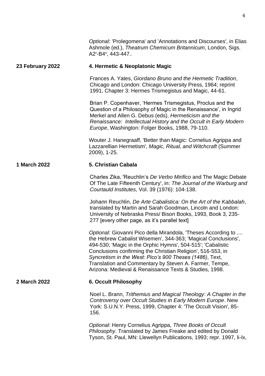|                  | Optional: 'Prolegomena' and 'Annotations and Discourses', in Elias<br>Ashmole (ed.), Theatrum Chemicum Britannicum, London, Sigs.<br>A2 <sup>r</sup> -B4 <sup>v</sup> , 443-447                                                                                                                                                                                                                                                             |
|------------------|---------------------------------------------------------------------------------------------------------------------------------------------------------------------------------------------------------------------------------------------------------------------------------------------------------------------------------------------------------------------------------------------------------------------------------------------|
| 23 February 2022 | 4. Hermetic & Neoplatonic Magic                                                                                                                                                                                                                                                                                                                                                                                                             |
|                  | Frances A. Yates, Giordano Bruno and the Hermetic Tradition,<br>Chicago and London: Chicago University Press, 1964; reprint<br>1991, Chapter 3: Hermes Trismegistus and Magic, 44-61.                                                                                                                                                                                                                                                       |
|                  | Brian P. Copenhaver, 'Hermes Trismegistus, Proclus and the<br>Question of a Philosophy of Magic in the Renaissance', in Ingrid<br>Merkel and Allen G. Debus (eds), Hermeticism and the<br>Renaissance: Intellectual History and the Occult in Early Modern<br>Europe, Washington: Folger Books, 1988, 79-110.                                                                                                                               |
|                  | Wouter J. Hanegraaff, 'Better than Magic: Cornelius Agrippa and<br>Lazzarellian Hermetism', Magic, Ritual, and Witchcraft (Summer<br>2009), 1-25.                                                                                                                                                                                                                                                                                           |
| 1 March 2022     | 5. Christian Cabala                                                                                                                                                                                                                                                                                                                                                                                                                         |
|                  | Charles Zika, 'Reuchlin's De Verbo Mirifico and The Magic Debate<br>Of The Late Fifteenth Century', in: The Journal of the Warburg and<br>Courtauld Institutes, Vol. 39 (1976): 104-138.                                                                                                                                                                                                                                                    |
|                  | Johann Reuchlin, De Arte Cabalistica: On the Art of the Kabbalah,<br>translated by Martin and Sarah Goodman, Lincoln and London:<br>University of Nebraska Press/Bison Books, 1993, Book 3, 235-<br>277 [every other page, as it's parallel text]                                                                                                                                                                                           |
|                  | Optional: Giovanni Pico della Mirandola, 'Theses According to<br>the Hebrew Cabalist Wisemen', 344-363; 'Magical Conclusions',<br>494-530; 'Magic in the Orphic Hymns', 504-515'; 'Cabalistic<br>Conclusions confirming the Christian Religion', 516-553, in<br>Syncretism in the West: Pico's 900 Theses (1486), Text,<br>Translation and Commentary by Steven A. Farmer, Tempe,<br>Arizona: Medieval & Renaissance Texts & Studies, 1998. |
| 2 March 2022     | <b>6. Occult Philosophy</b>                                                                                                                                                                                                                                                                                                                                                                                                                 |
|                  | Noel L. Brann, Trithemius and Magical Theology: A Chapter in the<br>Controversy over Occult Studies in Early Modern Europe. New<br>York: S.U.N.Y. Press, 1999, Chapter 4: 'The Occult Vision', 85-<br>156.                                                                                                                                                                                                                                  |
|                  | Optional: Henry Cornelius Agrippa, Three Books of Occult<br>Philosophy. Translated by James Freake and edited by Donald<br>Tyson, St. Paul, MN: Llewellyn Publications, 1993; repr. 1997, Ii-lx,                                                                                                                                                                                                                                            |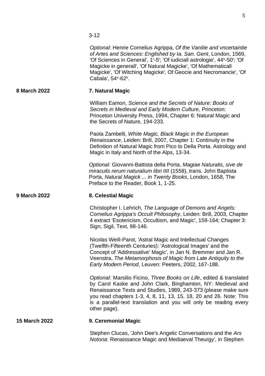3-12

|                     | Optional: Henrie Cornelius Agrippa, Of the Vanitie and vncertaintie<br>of Artes and Sciences: Englished by la. San. Gent, London, 1569,<br>'Of Sciences in General', 1'-5'; 'Of iudiciall astrologie', 44'-50'; 'Of<br>Magicke in generall', 'Of Natural Magicke', 'Of Mathematicall<br>Magicke', 'Of Witching Magicke', Of Geocie and Necromancie', 'Of<br>Cabala', 54 <sup>v</sup> -62 <sup>v</sup> . |
|---------------------|---------------------------------------------------------------------------------------------------------------------------------------------------------------------------------------------------------------------------------------------------------------------------------------------------------------------------------------------------------------------------------------------------------|
| <b>8 March 2022</b> | 7. Natural Magic                                                                                                                                                                                                                                                                                                                                                                                        |
|                     | William Eamon, Science and the Secrets of Nature: Books of<br>Secrets in Medieval and Early Modern Culture, Princeton:<br>Princeton University Press, 1994, Chapter 6: Natural Magic and<br>the Secrets of Nature, 194-233.                                                                                                                                                                             |
|                     | Paola Zambelli, White Magic, Black Magic in the European<br>Renaissance, Leiden: Brill, 2007, Chapter 1: Continuity in the<br>Definition of Natural Magic from Pico to Della Porta. Astrology and<br>Magic in Italy and North of the Alps, 13-34.                                                                                                                                                       |
|                     | Optional: Giovanni-Battista della Porta, Magiae Naturalis, sive de<br>miraculis rerum naturalium libri IIII (1558), trans. John Baptista<br>Porta, Natural Magick  in Twenty Books, London, 1658, The<br>Preface to the Reader, Book 1, 1-25.                                                                                                                                                           |
| <b>9 March 2022</b> | 8. Celestial Magic                                                                                                                                                                                                                                                                                                                                                                                      |
|                     | Christopher I. Lehrich, The Language of Demons and Angels:<br>Cornelius Agrippa's Occult Philosophy, Leiden: Brill, 2003, Chapter<br>4 extract 'Esotericism, Occultism, and Magic', 159-164; Chapter 3:<br>Sign, Sigil, Text, 98-146.                                                                                                                                                                   |
|                     | Nicolas Weill-Parot, 'Astral Magic and Intellectual Changes<br>(Twelfth-Fifteenth Centuries): 'Astrological Images' and the<br>Concept of 'Addressative' Magic', in Jan N. Bremmer and Jan R.                                                                                                                                                                                                           |
|                     | Veenstra, The Metamorphosis of Magic from Late Antiquity to the<br>Early Modern Period, Leuven: Peeters, 2002, 167-188.                                                                                                                                                                                                                                                                                 |
|                     | Optional: Marsilio Ficino, Three Books on Life, edited & translated<br>by Carol Kaske and John Clark, Binghamton, NY: Medieval and<br>Renaissance Texts and Studies, 1989, 243-373 (please make sure<br>you read chapters 1-3, 4, 8, 11, 13, 15, 18, 20 and 26. Note: This<br>is a parallel-text translation and you will only be reading every<br>other page).                                         |

Stephen Clucas, 'John Dee's Angelic Conversations and the *Ars Notoria*: Renaissance Magic and Mediaeval Theurgy', in Stephen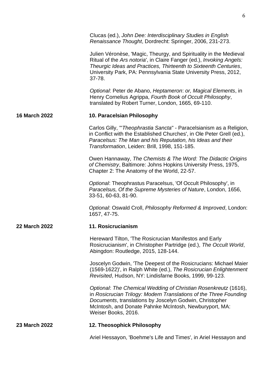|                      | Clucas (ed.), John Dee: Interdisciplinary Studies in English<br>Renaissance Thought, Dordrecht: Springer, 2006, 231-273.                                                                                                                                                                    |
|----------------------|---------------------------------------------------------------------------------------------------------------------------------------------------------------------------------------------------------------------------------------------------------------------------------------------|
|                      | Julien Véronèse, 'Magic, Theurgy, and Spirituality in the Medieval<br>Ritual of the Ars notoria', in Claire Fanger (ed.), Invoking Angels:<br>Theurgic Ideas and Practices, Thirteenth to Sixteenth Centuries,<br>University Park, PA: Pennsylvania State University Press, 2012,<br>37-78. |
|                      | Optional: Peter de Abano, Heptameron: or, Magical Elements, in<br>Henry Cornelius Agrippa, Fourth Book of Occult Philosophy,<br>translated by Robert Turner, London, 1665, 69-110.                                                                                                          |
| 16 March 2022        | 10. Paracelsian Philosophy                                                                                                                                                                                                                                                                  |
|                      | Carlos Gilly, "Theophrastia Sancta" - Paracelsianism as a Religion,<br>in Conflict with the Established Churches', in Ole Peter Grell (ed.),<br>Paracelsus: The Man and his Reputation, his Ideas and their<br>Transformation, Leiden: Brill, 1998, 151-185.                                |
|                      | Owen Hannaway, The Chemists & The Word: The Didactic Origins<br>of Chemistry, Baltimore: Johns Hopkins University Press, 1975,<br>Chapter 2: The Anatomy of the World, 22-57.                                                                                                               |
|                      | Optional: Theophrastus Paracelsus, 'Of Occult Philosophy', in<br>Paracelsus, Of the Supreme Mysteries of Nature, London, 1656,<br>33-51, 60-63, 81-90.                                                                                                                                      |
|                      | Optional: Oswald Croll, Philosophy Reformed & Improved, London:<br>1657, 47-75.                                                                                                                                                                                                             |
| 22 March 2022        | 11. Rosicrucianism                                                                                                                                                                                                                                                                          |
|                      | Hereward Tilton, 'The Rosicrucian Manifestos and Early<br>Rosicrucianism', in Christopher Partridge (ed.), The Occult World,<br>Abingdon: Routledge, 2015, 128-144.                                                                                                                         |
|                      | Joscelyn Godwin, 'The Deepest of the Rosicrucians: Michael Maier<br>(1569-1622)', in Ralph White (ed.), The Rosicrucian Enlightenment<br>Revisited, Hudson, NY: Lindisfarne Books, 1999, 99-123.                                                                                            |
|                      | Optional: The Chemical Wedding of Christian Rosenkreutz (1616),<br>in Rosicrucian Trilogy: Modern Translations of the Three Founding<br>Documents, translations by Joscelyn Godwin, Christopher<br>McIntosh, and Donate Pahnke McIntosh, Newburyport, MA:<br>Weiser Books, 2016.            |
| <b>23 March 2022</b> | 12. Theosophick Philosophy                                                                                                                                                                                                                                                                  |
|                      |                                                                                                                                                                                                                                                                                             |

Ariel Hessayon, 'Boehme's Life and Times', in Ariel Hessayon and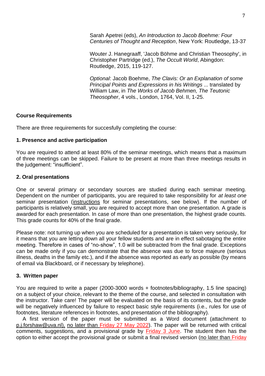Sarah Apetrei (eds), *An Introduction to Jacob Boehme: Four Centuries of Thought and Reception*, New York: Routledge, 13-37

Wouter J. Hanegraaff, 'Jacob Böhme and Christian Theosophy', in Christopher Partridge (ed.), *The Occult World*, Abingdon: Routledge, 2015, 119-127.

*Optional*: Jacob Boehme, *The Clavis: Or an Explanation of some Principal Points and Expressions in his Writings* ... translated by William Law, in *The Works of Jacob Behmen, The Teutonic Theosopher*, 4 vols., London, 1764, Vol. II, 1-25.

#### **Course Requirements**

There are three requirements for succesfully completing the course:

#### **1. Presence and active participation**

You are required to attend at least 80% of the seminar meetings, which means that a maximum of three meetings can be skipped. Failure to be present at more than three meetings results in the judgement: "insufficient".

#### **2. Oral presentations**

One or several primary or secondary sources are studied during each seminar meeting. Dependent on the number of participants, you are required to take responsibility for *at least one* seminar presentation (instructions for seminar presentations, see below). If the number of participants is relatively small, you are required to accept more than one presentation. A grade is awarded for each presentation. In case of more than one presentation, the highest grade counts. This grade counts for 40% of the final grade.

Please note: not turning up when you are scheduled for a presentation is taken very seriously, for it means that you are letting down all your fellow students and are in effect sabotaging the entire meeting. Therefore in cases of "no-show", 1.0 will be subtracted from the final grade. Exceptions can be made only if you can demonstrate that the absence was due to force majeure (serious illness, deaths in the family etc.), and if the absence was reported as early as possible (by means of email via Blackboard, or if necessary by telephone).

### **3. Written paper**

You are required to write a paper (2000-3000 words + footnotes/bibliography, 1.5 line spacing) on a subject of your choice, relevant to the theme of the course, and selected in consultation with the instructor. Take care! The paper will be evaluated on the basis of its contents, but the grade will be negatively influenced by failure to respect basic style requirements (i.e., rules for use of footnotes, literature references in footnotes, and presentation of the bibliography).

A first version of the paper must be submitted as a Word document (attachment to p.j.forshaw@uva.nl), no later than Friday 27 May 2022). The paper will be returned with critical comments, suggestions, and a provisional grade by Friday 3 June. The student then has the option to either accept the provisional grade or submit a final revised version (no later than Friday